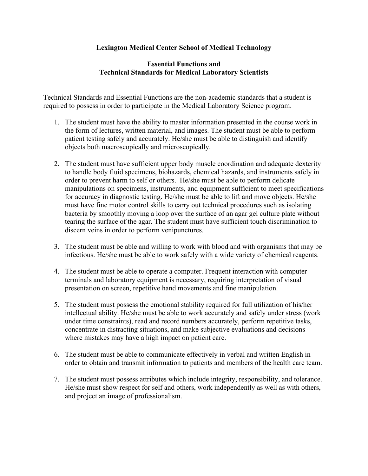#### **Lexington Medical Center School of Medical Technology**

#### **Essential Functions and Technical Standards for Medical Laboratory Scientists**

Technical Standards and Essential Functions are the non-academic standards that a student is required to possess in order to participate in the Medical Laboratory Science program.

- 1. The student must have the ability to master information presented in the course work in the form of lectures, written material, and images. The student must be able to perform patient testing safely and accurately. He/she must be able to distinguish and identify objects both macroscopically and microscopically.
- 2. The student must have sufficient upper body muscle coordination and adequate dexterity to handle body fluid specimens, biohazards, chemical hazards, and instruments safely in order to prevent harm to self or others. He/she must be able to perform delicate manipulations on specimens, instruments, and equipment sufficient to meet specifications for accuracy in diagnostic testing. He/she must be able to lift and move objects. He/she must have fine motor control skills to carry out technical procedures such as isolating bacteria by smoothly moving a loop over the surface of an agar gel culture plate without tearing the surface of the agar. The student must have sufficient touch discrimination to discern veins in order to perform venipunctures.
- 3. The student must be able and willing to work with blood and with organisms that may be infectious. He/she must be able to work safely with a wide variety of chemical reagents.
- 4. The student must be able to operate a computer. Frequent interaction with computer terminals and laboratory equipment is necessary, requiring interpretation of visual presentation on screen, repetitive hand movements and fine manipulation.
- 5. The student must possess the emotional stability required for full utilization of his/her intellectual ability. He/she must be able to work accurately and safely under stress (work under time constraints), read and record numbers accurately, perform repetitive tasks, concentrate in distracting situations, and make subjective evaluations and decisions where mistakes may have a high impact on patient care.
- 6. The student must be able to communicate effectively in verbal and written English in order to obtain and transmit information to patients and members of the health care team.
- 7. The student must possess attributes which include integrity, responsibility, and tolerance. He/she must show respect for self and others, work independently as well as with others, and project an image of professionalism.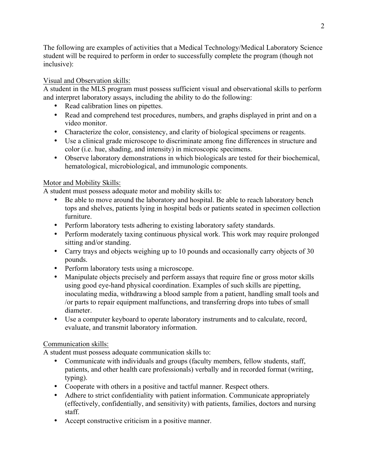The following are examples of activities that a Medical Technology/Medical Laboratory Science student will be required to perform in order to successfully complete the program (though not inclusive):

## Visual and Observation skills:

A student in the MLS program must possess sufficient visual and observational skills to perform and interpret laboratory assays, including the ability to do the following:

- Read calibration lines on pipettes.
- Read and comprehend test procedures, numbers, and graphs displayed in print and on a video monitor.
- Characterize the color, consistency, and clarity of biological specimens or reagents.
- Use a clinical grade microscope to discriminate among fine differences in structure and color (i.e. hue, shading, and intensity) in microscopic specimens.
- Observe laboratory demonstrations in which biologicals are tested for their biochemical, hematological, microbiological, and immunologic components.

## Motor and Mobility Skills:

A student must possess adequate motor and mobility skills to:

- Be able to move around the laboratory and hospital. Be able to reach laboratory bench tops and shelves, patients lying in hospital beds or patients seated in specimen collection furniture.
- Perform laboratory tests adhering to existing laboratory safety standards.
- Perform moderately taxing continuous physical work. This work may require prolonged sitting and/or standing.
- Carry trays and objects weighing up to 10 pounds and occasionally carry objects of 30 pounds.
- Perform laboratory tests using a microscope.
- Manipulate objects precisely and perform assays that require fine or gross motor skills using good eye-hand physical coordination. Examples of such skills are pipetting, inoculating media, withdrawing a blood sample from a patient, handling small tools and /or parts to repair equipment malfunctions, and transferring drops into tubes of small diameter.
- Use a computer keyboard to operate laboratory instruments and to calculate, record, evaluate, and transmit laboratory information.

# Communication skills:

A student must possess adequate communication skills to:

- Communicate with individuals and groups (faculty members, fellow students, staff, patients, and other health care professionals) verbally and in recorded format (writing, typing).
- Cooperate with others in a positive and tactful manner. Respect others.
- Adhere to strict confidentiality with patient information. Communicate appropriately (effectively, confidentially, and sensitivity) with patients, families, doctors and nursing staff.
- Accept constructive criticism in a positive manner.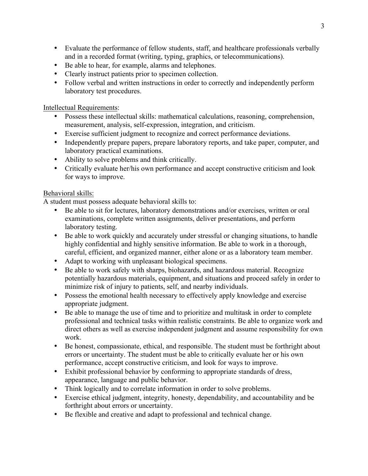- Evaluate the performance of fellow students, staff, and healthcare professionals verbally and in a recorded format (writing, typing, graphics, or telecommunications).
- Be able to hear, for example, alarms and telephones.
- Clearly instruct patients prior to specimen collection.
- Follow verbal and written instructions in order to correctly and independently perform laboratory test procedures.

Intellectual Requirements:

- Possess these intellectual skills: mathematical calculations, reasoning, comprehension, measurement, analysis, self-expression, integration, and criticism.
- Exercise sufficient judgment to recognize and correct performance deviations.
- Independently prepare papers, prepare laboratory reports, and take paper, computer, and laboratory practical examinations.
- Ability to solve problems and think critically.
- Critically evaluate her/his own performance and accept constructive criticism and look for ways to improve.

## Behavioral skills:

A student must possess adequate behavioral skills to:

- Be able to sit for lectures, laboratory demonstrations and/or exercises, written or oral examinations, complete written assignments, deliver presentations, and perform laboratory testing.
- Be able to work quickly and accurately under stressful or changing situations, to handle highly confidential and highly sensitive information. Be able to work in a thorough, careful, efficient, and organized manner, either alone or as a laboratory team member.
- Adapt to working with unpleasant biological specimens.
- Be able to work safely with sharps, biohazards, and hazardous material. Recognize potentially hazardous materials, equipment, and situations and proceed safely in order to minimize risk of injury to patients, self, and nearby individuals.
- Possess the emotional health necessary to effectively apply knowledge and exercise appropriate judgment.
- Be able to manage the use of time and to prioritize and multitask in order to complete professional and technical tasks within realistic constraints. Be able to organize work and direct others as well as exercise independent judgment and assume responsibility for own work.
- Be honest, compassionate, ethical, and responsible. The student must be forthright about errors or uncertainty. The student must be able to critically evaluate her or his own performance, accept constructive criticism, and look for ways to improve.
- Exhibit professional behavior by conforming to appropriate standards of dress, appearance, language and public behavior.
- Think logically and to correlate information in order to solve problems.
- Exercise ethical judgment, integrity, honesty, dependability, and accountability and be forthright about errors or uncertainty.
- Be flexible and creative and adapt to professional and technical change.